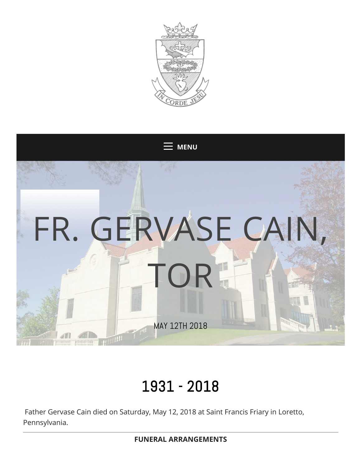



## 1931 - 2018

Father Gervase Cain died on Saturday, May 12, 2018 at Saint Francis Friary in Loretto, Pennsylvania.

**FUNERAL ARRANGEMENTS**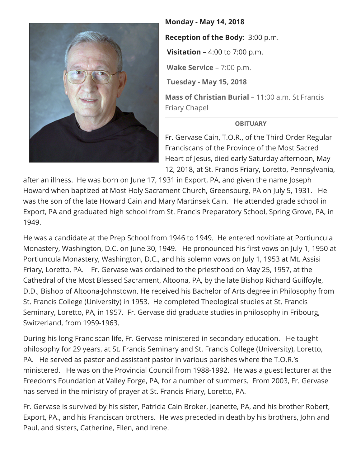

**Monday - May 14, 2018**

**Reception of the Body**: 3:00 p.m.

**Visitation** – 4:00 to 7:00 p.m.

**Wake Service** – 7:00 p.m.

**Tuesday - May 15, 2018**

**Mass of Christian Burial** – 11:00 a.m. St Francis Friary Chapel

## **OBITUARY**

Fr. Gervase Cain, T.O.R., of the Third Order Regular Franciscans of the Province of the Most Sacred Heart of Jesus, died early Saturday afternoon, May 12, 2018, at St. Francis Friary, Loretto, Pennsylvania,

after an illness. He was born on June 17, 1931 in Export, PA, and given the name Joseph Howard when baptized at Most Holy Sacrament Church, Greensburg, PA on July 5, 1931. He was the son of the late Howard Cain and Mary Martinsek Cain. He attended grade school in Export, PA and graduated high school from St. Francis Preparatory School, Spring Grove, PA, in 1949.

He was a candidate at the Prep School from 1946 to 1949. He entered novitiate at Portiuncula Monastery, Washington, D.C. on June 30, 1949. He pronounced his first vows on July 1, 1950 at Portiuncula Monastery, Washington, D.C., and his solemn vows on July 1, 1953 at Mt. Assisi Friary, Loretto, PA. Fr. Gervase was ordained to the priesthood on May 25, 1957, at the Cathedral of the Most Blessed Sacrament, Altoona, PA, by the late Bishop Richard Guilfoyle, D.D., Bishop of Altoona-Johnstown. He received his Bachelor of Arts degree in Philosophy from St. Francis College (University) in 1953. He completed Theological studies at St. Francis Seminary, Loretto, PA, in 1957. Fr. Gervase did graduate studies in philosophy in Fribourg, Switzerland, from 1959-1963.

During his long Franciscan life, Fr. Gervase ministered in secondary education. He taught philosophy for 29 years, at St. Francis Seminary and St. Francis College (University), Loretto, PA. He served as pastor and assistant pastor in various parishes where the T.O.R.'s ministered. He was on the Provincial Council from 1988-1992. He was a guest lecturer at the Freedoms Foundation at Valley Forge, PA, for a number of summers. From 2003, Fr. Gervase has served in the ministry of prayer at St. Francis Friary, Loretto, PA.

Fr. Gervase is survived by his sister, Patricia Cain Broker, Jeanette, PA, and his brother Robert, Export, PA., and his Franciscan brothers. He was preceded in death by his brothers, John and Paul, and sisters, Catherine, Ellen, and Irene.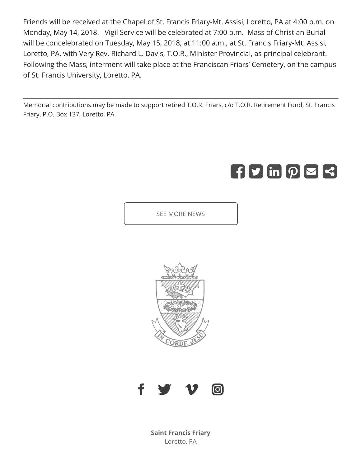Friends will be received at the Chapel of St. Francis Friary-Mt. Assisi, Loretto, PA at 4:00 p.m. on Monday, May 14, 2018. Vigil Service will be celebrated at 7:00 p.m. Mass of Christian Burial will be concelebrated on Tuesday, May 15, 2018, at 11:00 a.m., at St. Francis Friary-Mt. Assisi, Loretto, PA, with Very Rev. Richard L. Davis, T.O.R., Minister Provincial, as principal celebrant. Following the Mass, interment will take place at the Franciscan Friars' Cemetery, on the campus of St. Francis University, Loretto, PA.

Memorial contributions may be made to support retired T.O.R. Friars, c/o T.O.R. Retirement Fund, St. Francis Friary, P.O. Box 137, Loretto, PA.

# $\left[\left[f\right]\mathbf{y}\right]$  in  $\left[\rho\right]\boxtimes\left[\mathbf{z}\right]$

SEE MORE NEWS





**Saint Francis Friary** Loretto, PA